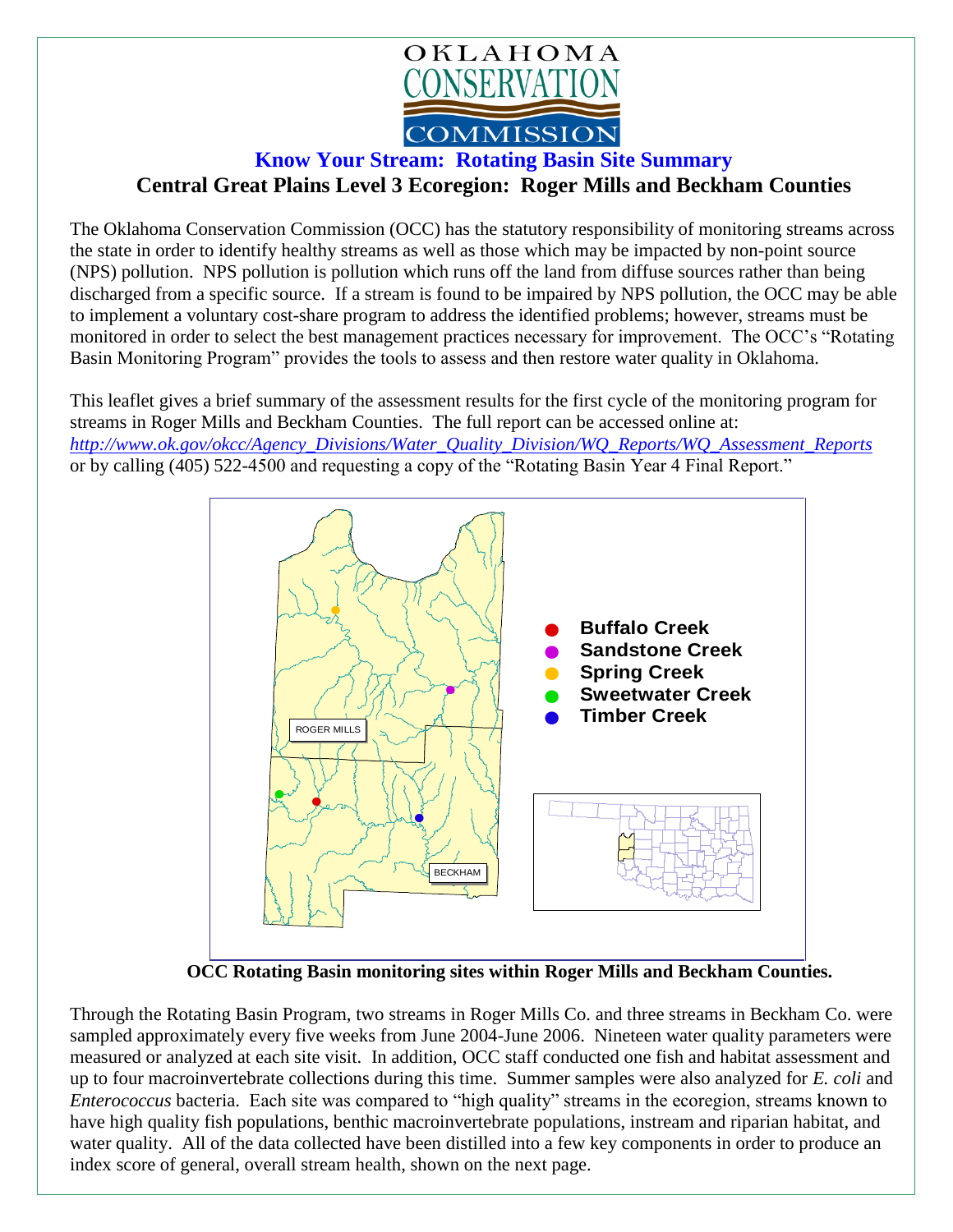

## **Know Your Stream: Rotating Basin Site Summary Central Great Plains Level 3 Ecoregion: Roger Mills and Beckham Counties**

The Oklahoma Conservation Commission (OCC) has the statutory responsibility of monitoring streams across the state in order to identify healthy streams as well as those which may be impacted by non-point source (NPS) pollution. NPS pollution is pollution which runs off the land from diffuse sources rather than being discharged from a specific source. If a stream is found to be impaired by NPS pollution, the OCC may be able to implement a voluntary cost-share program to address the identified problems; however, streams must be monitored in order to select the best management practices necessary for improvement. The OCC's "Rotating Basin Monitoring Program" provides the tools to assess and then restore water quality in Oklahoma.

This leaflet gives a brief summary of the assessment results for the first cycle of the monitoring program for streams in Roger Mills and Beckham Counties. The full report can be accessed online at: *[http://www.ok.gov/okcc/Agency\\_Divisions/Water\\_Quality\\_Division/WQ\\_Reports/WQ\\_Assessment\\_Reports](http://www.ok.gov/okcc/Agency_Divisions/Water_Quality_Division/WQ_Reports/WQ_Assessment_Reports)* or by calling (405) 522-4500 and requesting a copy of the "Rotating Basin Year 4 Final Report."



 **OCC Rotating Basin monitoring sites within Roger Mills and Beckham Counties.**

Through the Rotating Basin Program, two streams in Roger Mills Co. and three streams in Beckham Co. were sampled approximately every five weeks from June 2004-June 2006. Nineteen water quality parameters were measured or analyzed at each site visit. In addition, OCC staff conducted one fish and habitat assessment and up to four macroinvertebrate collections during this time. Summer samples were also analyzed for *E. coli* and *Enterococcus* bacteria. Each site was compared to "high quality" streams in the ecoregion, streams known to have high quality fish populations, benthic macroinvertebrate populations, instream and riparian habitat, and water quality. All of the data collected have been distilled into a few key components in order to produce an index score of general, overall stream health, shown on the next page.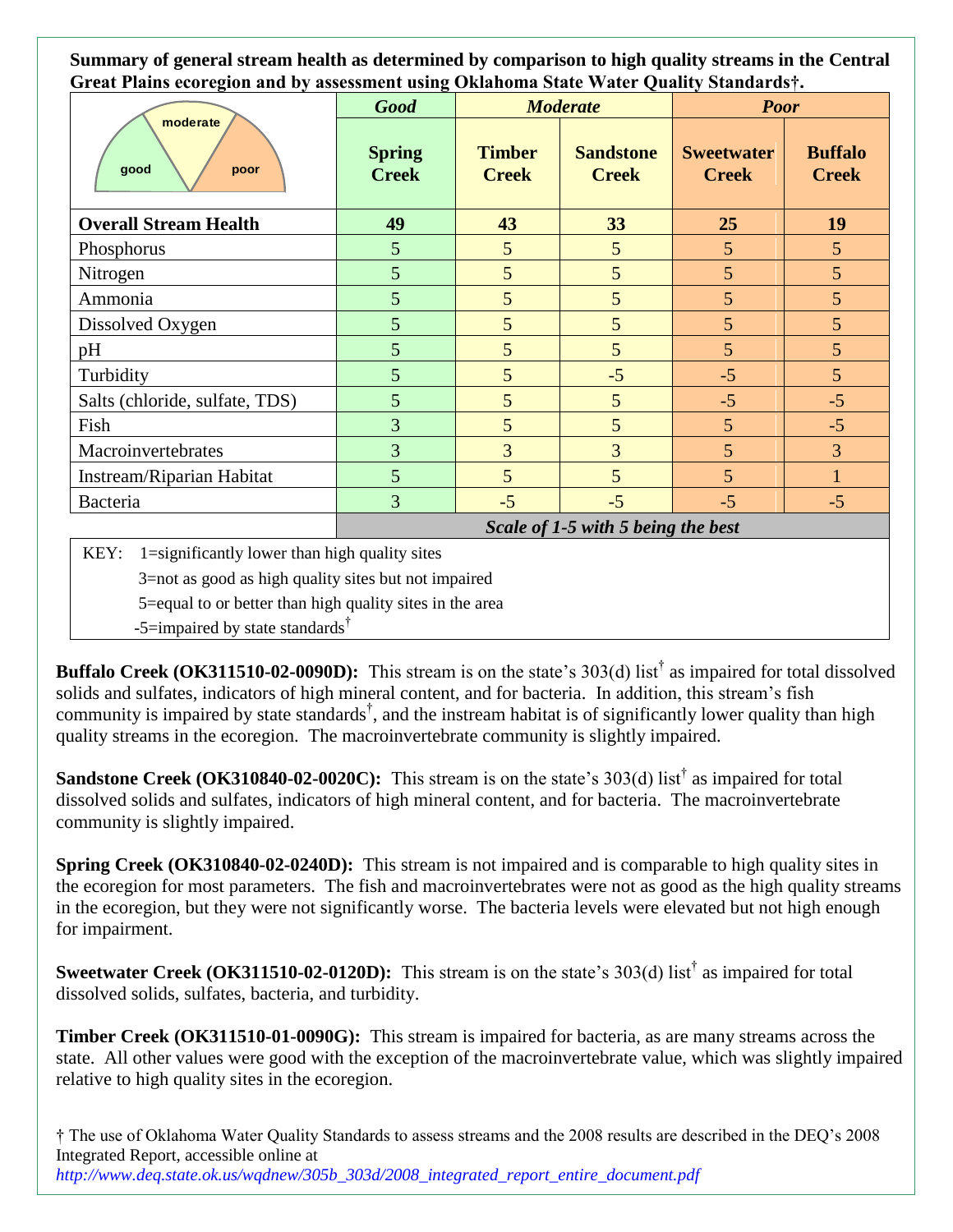**Summary of general stream health as determined by comparison to high quality streams in the Central Great Plains ecoregion and by assessment using Oklahoma State Water Quality Standards†.**

| moderate<br>good<br>poor       | ᇰ<br><b>Good</b>                   | <b>Moderate</b>               |                                  | <b>Poor</b>                       |                                |
|--------------------------------|------------------------------------|-------------------------------|----------------------------------|-----------------------------------|--------------------------------|
|                                | <b>Spring</b><br><b>Creek</b>      | <b>Timber</b><br><b>Creek</b> | <b>Sandstone</b><br><b>Creek</b> | <b>Sweetwater</b><br><b>Creek</b> | <b>Buffalo</b><br><b>Creek</b> |
| <b>Overall Stream Health</b>   | 49                                 | 43                            | 33                               | 25                                | 19                             |
| Phosphorus                     | $\mathfrak{S}$                     | 5                             | 5                                | 5                                 | 5 <sup>5</sup>                 |
| Nitrogen                       | 5                                  | 5                             | 5                                | 5                                 | 5 <sup>5</sup>                 |
| Ammonia                        | 5                                  | 5                             | 5                                | 5                                 | 5 <sup>5</sup>                 |
| Dissolved Oxygen               | 5                                  | 5                             | 5                                | 5                                 | 5                              |
| pH                             | 5                                  | 5                             | 5                                | 5                                 | 5                              |
| Turbidity                      | 5                                  | 5                             | $-5$                             | $-5$                              | 5                              |
| Salts (chloride, sulfate, TDS) | 5                                  | 5 <sup>5</sup>                | 5                                | $-5$                              | $-5$                           |
| Fish                           | $\overline{3}$                     | 5                             | 5                                | 5                                 | $-5$                           |
| Macroinvertebrates             | $\overline{3}$                     | $\overline{3}$                | 3                                | 5                                 | $\overline{3}$                 |
| Instream/Riparian Habitat      | 5                                  | 5                             | 5                                | 5                                 |                                |
| Bacteria                       | $\overline{3}$                     | $-5$                          | $-5$                             | $-5$                              | $-5$                           |
|                                | Scale of 1-5 with 5 being the best |                               |                                  |                                   |                                |

KEY: 1=significantly lower than high quality sites

3=not as good as high quality sites but not impaired

5=equal to or better than high quality sites in the area

-5=impaired by state standards<sup>†</sup>

**Buffalo Creek (OK311510-02-0090D):** This stream is on the state's 303(d) list† as impaired for total dissolved solids and sulfates, indicators of high mineral content, and for bacteria. In addition, this stream's fish community is impaired by state standards<sup>†</sup>, and the instream habitat is of significantly lower quality than high quality streams in the ecoregion. The macroinvertebrate community is slightly impaired.

**Sandstone Creek** (**OK310840-02-0020C**): This stream is on the state's 303(d) list<sup>†</sup> as impaired for total dissolved solids and sulfates, indicators of high mineral content, and for bacteria. The macroinvertebrate community is slightly impaired.

**Spring Creek (OK310840-02-0240D):** This stream is not impaired and is comparable to high quality sites in the ecoregion for most parameters. The fish and macroinvertebrates were not as good as the high quality streams in the ecoregion, but they were not significantly worse. The bacteria levels were elevated but not high enough for impairment.

**Sweetwater Creek (OK311510-02-0120D):** This stream is on the state's 303(d) list† as impaired for total dissolved solids, sulfates, bacteria, and turbidity.

**Timber Creek (OK311510-01-0090G):** This stream is impaired for bacteria, as are many streams across the state. All other values were good with the exception of the macroinvertebrate value, which was slightly impaired relative to high quality sites in the ecoregion.

† The use of Oklahoma Water Quality Standards to assess streams and the 2008 results are described in the DEQ's 2008 Integrated Report, accessible online at *http://www.deq.state.ok.us/wqdnew/305b\_303d/2008\_integrated\_report\_entire\_document.pdf*